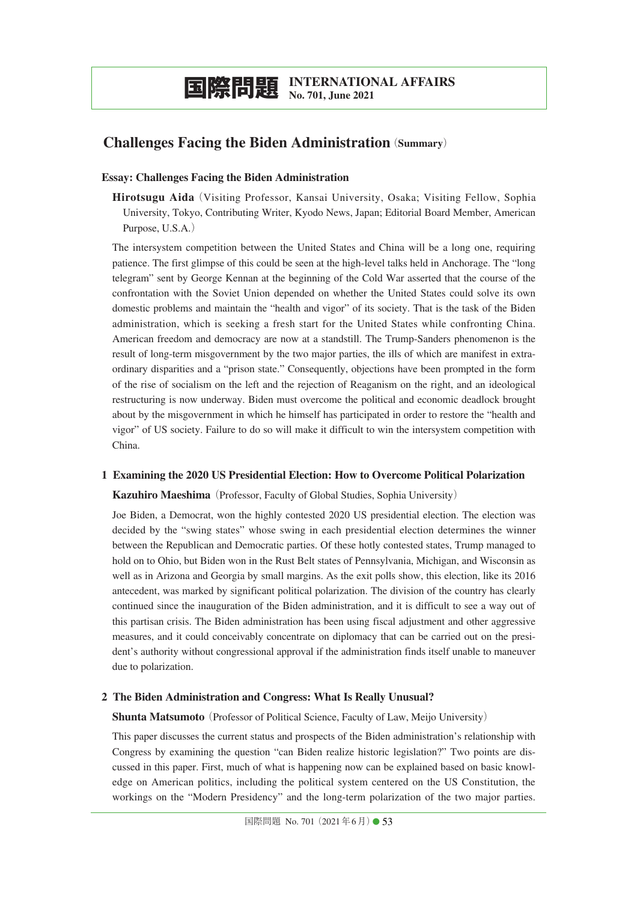# **Challenges Facing the Biden Administration**(**Summary**)

#### **Essay: Challenges Facing the Biden Administration**

**Hirotsugu Aida**(Visiting Professor, Kansai University, Osaka; Visiting Fellow, Sophia University, Tokyo, Contributing Writer, Kyodo News, Japan; Editorial Board Member, American Purpose, U.S.A.)

The intersystem competition between the United States and China will be a long one, requiring patience. The first glimpse of this could be seen at the high-level talks held in Anchorage. The "long telegram" sent by George Kennan at the beginning of the Cold War asserted that the course of the confrontation with the Soviet Union depended on whether the United States could solve its own domestic problems and maintain the "health and vigor" of its society. That is the task of the Biden administration, which is seeking a fresh start for the United States while confronting China. American freedom and democracy are now at a standstill. The Trump-Sanders phenomenon is the result of long-term misgovernment by the two major parties, the ills of which are manifest in extraordinary disparities and a "prison state." Consequently, objections have been prompted in the form of the rise of socialism on the left and the rejection of Reaganism on the right, and an ideological restructuring is now underway. Biden must overcome the political and economic deadlock brought about by the misgovernment in which he himself has participated in order to restore the "health and vigor" of US society. Failure to do so will make it difficult to win the intersystem competition with China.

## **1 Examining the 2020 US Presidential Election: How to Overcome Political Polarization**

**Kazuhiro Maeshima** (Professor, Faculty of Global Studies, Sophia University)

Joe Biden, a Democrat, won the highly contested 2020 US presidential election. The election was decided by the "swing states" whose swing in each presidential election determines the winner between the Republican and Democratic parties. Of these hotly contested states, Trump managed to hold on to Ohio, but Biden won in the Rust Belt states of Pennsylvania, Michigan, and Wisconsin as well as in Arizona and Georgia by small margins. As the exit polls show, this election, like its 2016 antecedent, was marked by significant political polarization. The division of the country has clearly continued since the inauguration of the Biden administration, and it is difficult to see a way out of this partisan crisis. The Biden administration has been using fiscal adjustment and other aggressive measures, and it could conceivably concentrate on diplomacy that can be carried out on the president's authority without congressional approval if the administration finds itself unable to maneuver due to polarization.

## **2 The Biden Administration and Congress: What Is Really Unusual?**

**Shunta Matsumoto** (Professor of Political Science, Faculty of Law, Meijo University)

This paper discusses the current status and prospects of the Biden administration's relationship with Congress by examining the question "can Biden realize historic legislation?" Two points are discussed in this paper. First, much of what is happening now can be explained based on basic knowledge on American politics, including the political system centered on the US Constitution, the workings on the "Modern Presidency" and the long-term polarization of the two major parties.